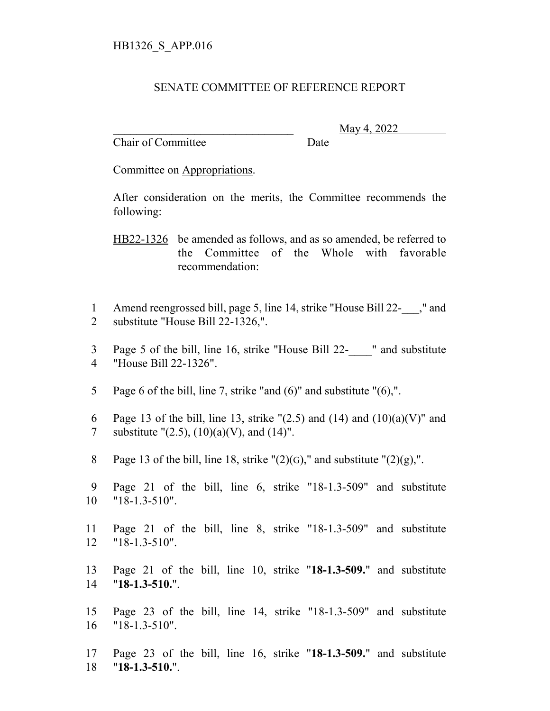## SENATE COMMITTEE OF REFERENCE REPORT

Chair of Committee Date

\_\_\_\_\_\_\_\_\_\_\_\_\_\_\_\_\_\_\_\_\_\_\_\_\_\_\_\_\_\_\_ May 4, 2022

Committee on Appropriations.

After consideration on the merits, the Committee recommends the following:

HB22-1326 be amended as follows, and as so amended, be referred to the Committee of the Whole with favorable recommendation:

1 Amend reengrossed bill, page 5, line 14, strike "House Bill 22-\_\_\_," and 2 substitute "House Bill 22-1326,".

3 Page 5 of the bill, line 16, strike "House Bill 22- " and substitute 4 "House Bill 22-1326".

5 Page 6 of the bill, line 7, strike "and (6)" and substitute "(6),".

6 Page 13 of the bill, line 13, strike " $(2.5)$  and  $(14)$  and  $(10)(a)(V)$ " and 7 substitute " $(2.5)$ ,  $(10)(a)(V)$ , and  $(14)$ ".

8 Page 13 of the bill, line 18, strike " $(2)(G)$ ," and substitute " $(2)(g)$ ,".

9 Page 21 of the bill, line 6, strike "18-1.3-509" and substitute 10 "18-1.3-510".

11 Page 21 of the bill, line 8, strike "18-1.3-509" and substitute 12 "18-1.3-510".

13 Page 21 of the bill, line 10, strike "**18-1.3-509.**" and substitute 14 "**18-1.3-510.**".

15 Page 23 of the bill, line 14, strike "18-1.3-509" and substitute 16 "18-1.3-510".

17 Page 23 of the bill, line 16, strike "**18-1.3-509.**" and substitute 18 "**18-1.3-510.**".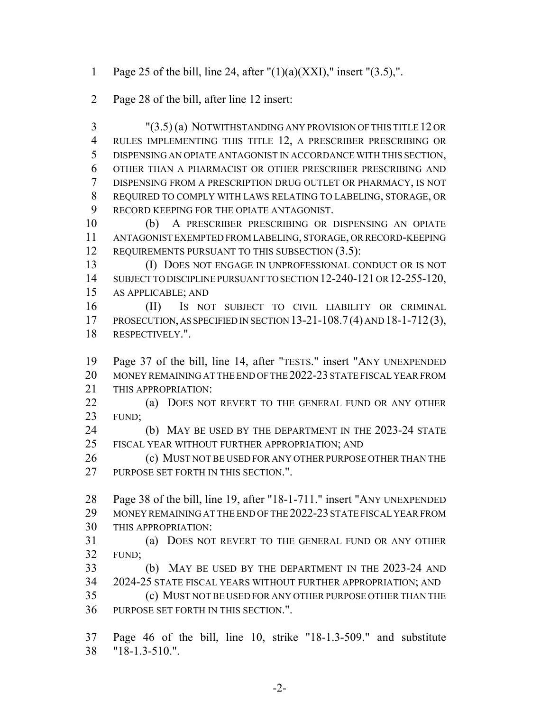1 Page 25 of the bill, line 24, after  $''(1)(a)(XXI)$ ," insert  $''(3.5)$ ,".

Page 28 of the bill, after line 12 insert:

 "(3.5) (a) NOTWITHSTANDING ANY PROVISION OF THIS TITLE 12 OR RULES IMPLEMENTING THIS TITLE 12, A PRESCRIBER PRESCRIBING OR DISPENSING AN OPIATE ANTAGONIST IN ACCORDANCE WITH THIS SECTION, OTHER THAN A PHARMACIST OR OTHER PRESCRIBER PRESCRIBING AND DISPENSING FROM A PRESCRIPTION DRUG OUTLET OR PHARMACY, IS NOT REQUIRED TO COMPLY WITH LAWS RELATING TO LABELING, STORAGE, OR RECORD KEEPING FOR THE OPIATE ANTAGONIST.

 (b) A PRESCRIBER PRESCRIBING OR DISPENSING AN OPIATE ANTAGONIST EXEMPTED FROM LABELING, STORAGE, OR RECORD-KEEPING 12 REQUIREMENTS PURSUANT TO THIS SUBSECTION (3.5):

 (I) DOES NOT ENGAGE IN UNPROFESSIONAL CONDUCT OR IS NOT 14 SUBJECT TO DISCIPLINE PURSUANT TO SECTION 12-240-121 OR 12-255-120, AS APPLICABLE; AND

 (II) IS NOT SUBJECT TO CIVIL LIABILITY OR CRIMINAL PROSECUTION, AS SPECIFIED IN SECTION 13-21-108.7(4) AND 18-1-712(3), RESPECTIVELY.".

 Page 37 of the bill, line 14, after "TESTS." insert "ANY UNEXPENDED MONEY REMAINING AT THE END OF THE 2022-23 STATE FISCAL YEAR FROM 21 THIS APPROPRIATION:

**(a) DOES NOT REVERT TO THE GENERAL FUND OR ANY OTHER** FUND;

 (b) MAY BE USED BY THE DEPARTMENT IN THE 2023-24 STATE FISCAL YEAR WITHOUT FURTHER APPROPRIATION; AND

**(c) MUST NOT BE USED FOR ANY OTHER PURPOSE OTHER THAN THE** 27 PURPOSE SET FORTH IN THIS SECTION.".

 Page 38 of the bill, line 19, after "18-1-711." insert "ANY UNEXPENDED MONEY REMAINING AT THE END OF THE 2022-23 STATE FISCAL YEAR FROM THIS APPROPRIATION:

 (a) DOES NOT REVERT TO THE GENERAL FUND OR ANY OTHER FUND;

 (b) MAY BE USED BY THE DEPARTMENT IN THE 2023-24 AND 2024-25 STATE FISCAL YEARS WITHOUT FURTHER APPROPRIATION; AND (c) MUST NOT BE USED FOR ANY OTHER PURPOSE OTHER THAN THE

PURPOSE SET FORTH IN THIS SECTION.".

 Page 46 of the bill, line 10, strike "18-1.3-509." and substitute "18-1.3-510.".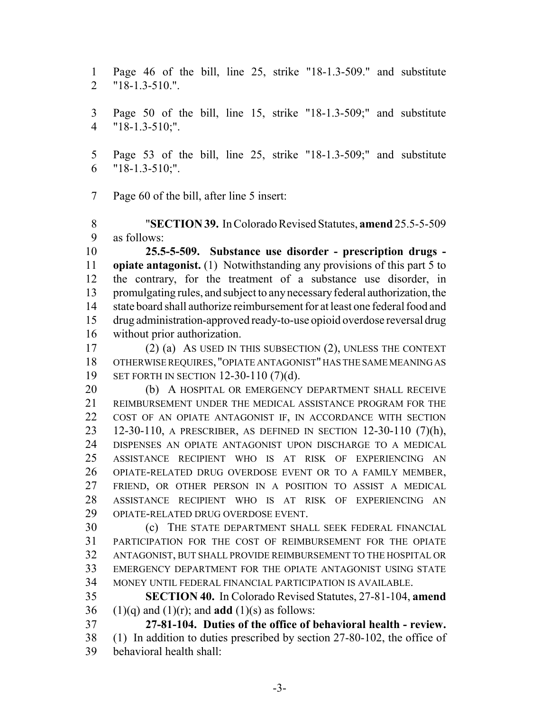Page 46 of the bill, line 25, strike "18-1.3-509." and substitute "18-1.3-510.".

 Page 50 of the bill, line 15, strike "18-1.3-509;" and substitute "18-1.3-510;".

 Page 53 of the bill, line 25, strike "18-1.3-509;" and substitute "18-1.3-510;".

Page 60 of the bill, after line 5 insert:

 "**SECTION 39.** In Colorado Revised Statutes, **amend** 25.5-5-509 as follows:

 **25.5-5-509. Substance use disorder - prescription drugs - opiate antagonist.** (1) Notwithstanding any provisions of this part 5 to the contrary, for the treatment of a substance use disorder, in promulgating rules, and subject to any necessary federal authorization, the state board shall authorize reimbursement for at least one federal food and drug administration-approved ready-to-use opioid overdose reversal drug without prior authorization.

 (2) (a) AS USED IN THIS SUBSECTION (2), UNLESS THE CONTEXT OTHERWISE REQUIRES, "OPIATE ANTAGONIST" HAS THE SAME MEANING AS SET FORTH IN SECTION 12-30-110 (7)(d).

20 (b) A HOSPITAL OR EMERGENCY DEPARTMENT SHALL RECEIVE REIMBURSEMENT UNDER THE MEDICAL ASSISTANCE PROGRAM FOR THE COST OF AN OPIATE ANTAGONIST IF, IN ACCORDANCE WITH SECTION 12-30-110, A PRESCRIBER, AS DEFINED IN SECTION 12-30-110 (7)(h), DISPENSES AN OPIATE ANTAGONIST UPON DISCHARGE TO A MEDICAL ASSISTANCE RECIPIENT WHO IS AT RISK OF EXPERIENCING AN OPIATE-RELATED DRUG OVERDOSE EVENT OR TO A FAMILY MEMBER, FRIEND, OR OTHER PERSON IN A POSITION TO ASSIST A MEDICAL ASSISTANCE RECIPIENT WHO IS AT RISK OF EXPERIENCING AN OPIATE-RELATED DRUG OVERDOSE EVENT.

 (c) THE STATE DEPARTMENT SHALL SEEK FEDERAL FINANCIAL PARTICIPATION FOR THE COST OF REIMBURSEMENT FOR THE OPIATE ANTAGONIST, BUT SHALL PROVIDE REIMBURSEMENT TO THE HOSPITAL OR EMERGENCY DEPARTMENT FOR THE OPIATE ANTAGONIST USING STATE MONEY UNTIL FEDERAL FINANCIAL PARTICIPATION IS AVAILABLE.

 **SECTION 40.** In Colorado Revised Statutes, 27-81-104, **amend** 36 (1)(q) and (1)(r); and **add** (1)(s) as follows:

 **27-81-104. Duties of the office of behavioral health - review.** (1) In addition to duties prescribed by section 27-80-102, the office of behavioral health shall: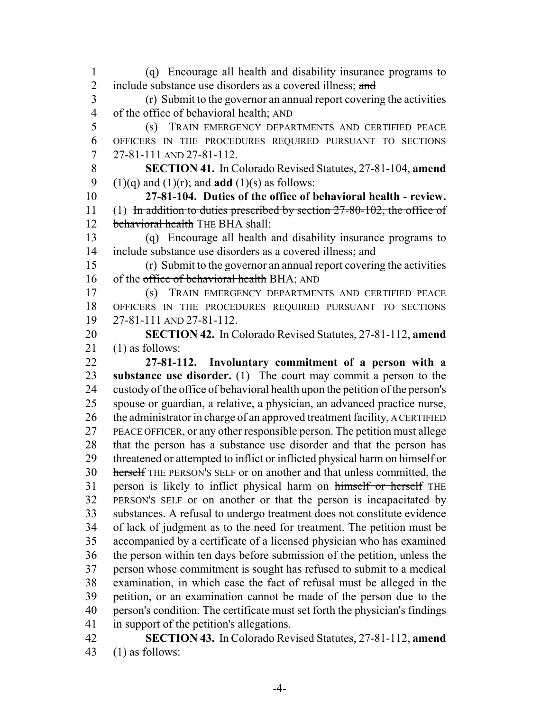2 include substance use disorders as a covered illness; and (r) Submit to the governor an annual report covering the activities of the office of behavioral health; AND (s) TRAIN EMERGENCY DEPARTMENTS AND CERTIFIED PEACE OFFICERS IN THE PROCEDURES REQUIRED PURSUANT TO SECTIONS 27-81-111 AND 27-81-112. **SECTION 41.** In Colorado Revised Statutes, 27-81-104, **amend** 9 (1)(q) and (1)(r); and **add** (1)(s) as follows: **27-81-104. Duties of the office of behavioral health - review.** 11 (1) In addition to duties prescribed by section 27-80-102, the office of 12 behavioral health THE BHA shall: (q) Encourage all health and disability insurance programs to 14 include substance use disorders as a covered illness; and (r) Submit to the governor an annual report covering the activities 16 of the office of behavioral health BHA; AND (s) TRAIN EMERGENCY DEPARTMENTS AND CERTIFIED PEACE OFFICERS IN THE PROCEDURES REQUIRED PURSUANT TO SECTIONS 27-81-111 AND 27-81-112. **SECTION 42.** In Colorado Revised Statutes, 27-81-112, **amend** (1) as follows: **27-81-112. Involuntary commitment of a person with a substance use disorder.** (1) The court may commit a person to the custody of the office of behavioral health upon the petition of the person's spouse or guardian, a relative, a physician, an advanced practice nurse, 26 the administrator in charge of an approved treatment facility, A CERTIFIED PEACE OFFICER, or any other responsible person. The petition must allege that the person has a substance use disorder and that the person has 29 threatened or attempted to inflict or inflicted physical harm on himself or herself THE PERSON'S SELF or on another and that unless committed, the 31 person is likely to inflict physical harm on himself or herself THE PERSON'S SELF or on another or that the person is incapacitated by substances. A refusal to undergo treatment does not constitute evidence of lack of judgment as to the need for treatment. The petition must be accompanied by a certificate of a licensed physician who has examined the person within ten days before submission of the petition, unless the person whose commitment is sought has refused to submit to a medical examination, in which case the fact of refusal must be alleged in the petition, or an examination cannot be made of the person due to the person's condition. The certificate must set forth the physician's findings in support of the petition's allegations. **SECTION 43.** In Colorado Revised Statutes, 27-81-112, **amend**

(q) Encourage all health and disability insurance programs to

(1) as follows: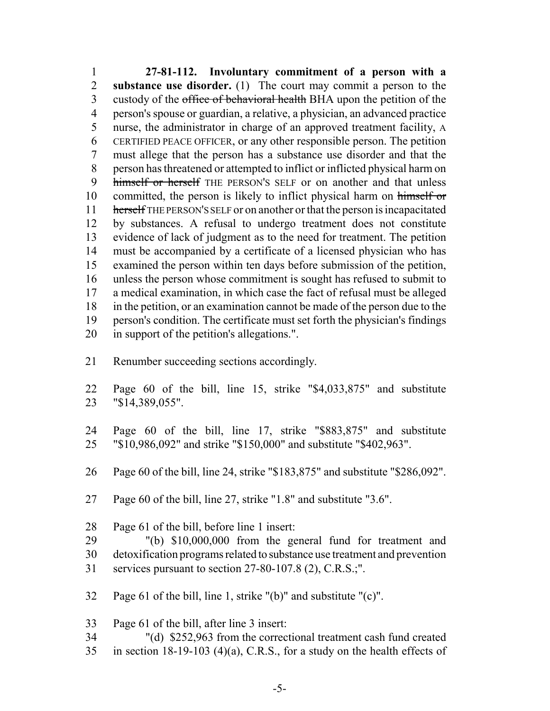**27-81-112. Involuntary commitment of a person with a substance use disorder.** (1) The court may commit a person to the 3 custody of the office of behavioral health BHA upon the petition of the person's spouse or guardian, a relative, a physician, an advanced practice nurse, the administrator in charge of an approved treatment facility, A CERTIFIED PEACE OFFICER, or any other responsible person. The petition must allege that the person has a substance use disorder and that the person has threatened or attempted to inflict or inflicted physical harm on 9 himself or herself THE PERSON'S SELF or on another and that unless 10 committed, the person is likely to inflict physical harm on himself or herself THE PERSON'S SELF or on another or that the person is incapacitated by substances. A refusal to undergo treatment does not constitute evidence of lack of judgment as to the need for treatment. The petition must be accompanied by a certificate of a licensed physician who has examined the person within ten days before submission of the petition, unless the person whose commitment is sought has refused to submit to a medical examination, in which case the fact of refusal must be alleged in the petition, or an examination cannot be made of the person due to the person's condition. The certificate must set forth the physician's findings in support of the petition's allegations.".

- Renumber succeeding sections accordingly.
- Page 60 of the bill, line 15, strike "\$4,033,875" and substitute "\$14,389,055".
- Page 60 of the bill, line 17, strike "\$883,875" and substitute "\$10,986,092" and strike "\$150,000" and substitute "\$402,963".
- Page 60 of the bill, line 24, strike "\$183,875" and substitute "\$286,092".
- Page 60 of the bill, line 27, strike "1.8" and substitute "3.6".
- Page 61 of the bill, before line 1 insert:
- "(b) \$10,000,000 from the general fund for treatment and detoxification programs related to substance use treatment and prevention services pursuant to section 27-80-107.8 (2), C.R.S.;".
- Page 61 of the bill, line 1, strike "(b)" and substitute "(c)".
- Page 61 of the bill, after line 3 insert:
- "(d) \$252,963 from the correctional treatment cash fund created in section 18-19-103 (4)(a), C.R.S., for a study on the health effects of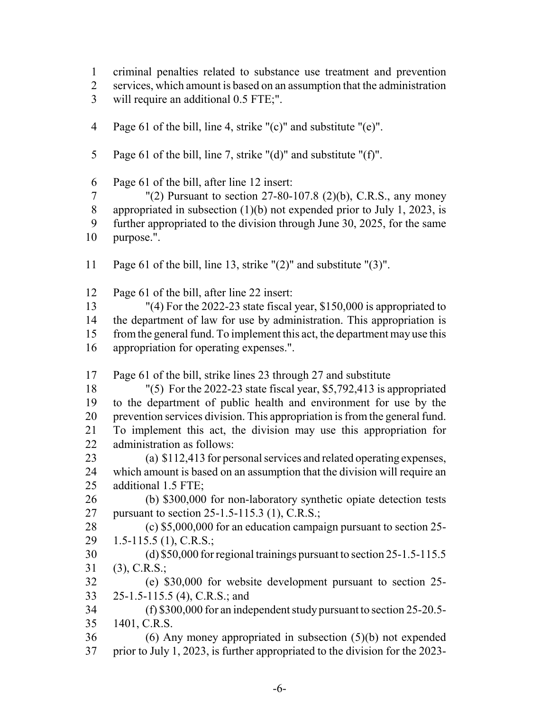criminal penalties related to substance use treatment and prevention

services, which amount is based on an assumption that the administration

will require an additional 0.5 FTE;".

- Page 61 of the bill, line 4, strike "(c)" and substitute "(e)".
- Page 61 of the bill, line 7, strike "(d)" and substitute "(f)".

Page 61 of the bill, after line 12 insert:

 "(2) Pursuant to section 27-80-107.8 (2)(b), C.R.S., any money 8 appropriated in subsection  $(1)(b)$  not expended prior to July 1, 2023, is further appropriated to the division through June 30, 2025, for the same purpose.".

Page 61 of the bill, line 13, strike "(2)" and substitute "(3)".

Page 61 of the bill, after line 22 insert:

 "(4) For the 2022-23 state fiscal year, \$150,000 is appropriated to the department of law for use by administration. This appropriation is from the general fund. To implement this act, the department may use this appropriation for operating expenses.".

Page 61 of the bill, strike lines 23 through 27 and substitute

 "(5) For the 2022-23 state fiscal year, \$5,792,413 is appropriated to the department of public health and environment for use by the prevention services division. This appropriation is from the general fund. To implement this act, the division may use this appropriation for administration as follows:

 (a) \$112,413 for personal services and related operating expenses, which amount is based on an assumption that the division will require an additional 1.5 FTE;

 (b) \$300,000 for non-laboratory synthetic opiate detection tests pursuant to section 25-1.5-115.3 (1), C.R.S.;

 (c) \$5,000,000 for an education campaign pursuant to section 25- 1.5-115.5 (1), C.R.S.;

 (d) \$50,000 for regional trainings pursuant to section 25-1.5-115.5 (3), C.R.S.;

 (e) \$30,000 for website development pursuant to section 25- 25-1.5-115.5 (4), C.R.S.; and

 (f) \$300,000 for an independent study pursuant to section 25-20.5- 1401, C.R.S.

 (6) Any money appropriated in subsection (5)(b) not expended prior to July 1, 2023, is further appropriated to the division for the 2023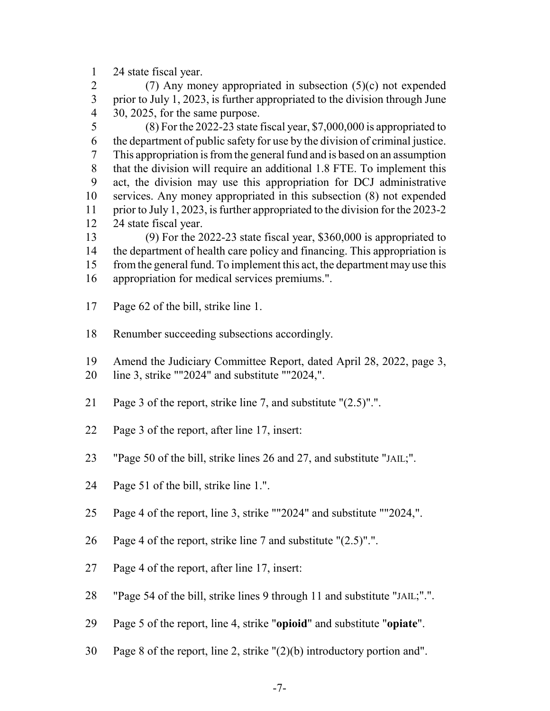24 state fiscal year.

 (7) Any money appropriated in subsection (5)(c) not expended prior to July 1, 2023, is further appropriated to the division through June 30, 2025, for the same purpose.

 (8) For the 2022-23 state fiscal year, \$7,000,000 is appropriated to the department of public safety for use by the division of criminal justice. This appropriation is from the general fund and is based on an assumption that the division will require an additional 1.8 FTE. To implement this act, the division may use this appropriation for DCJ administrative services. Any money appropriated in this subsection (8) not expended prior to July 1, 2023, is further appropriated to the division for the 2023-2 24 state fiscal year.

 (9) For the 2022-23 state fiscal year, \$360,000 is appropriated to the department of health care policy and financing. This appropriation is from the general fund. To implement this act, the department may use this appropriation for medical services premiums.".

- Page 62 of the bill, strike line 1.
- Renumber succeeding subsections accordingly.

Amend the Judiciary Committee Report, dated April 28, 2022, page 3,

- line 3, strike ""2024" and substitute ""2024,".
- Page 3 of the report, strike line 7, and substitute "(2.5)".".
- Page 3 of the report, after line 17, insert:
- "Page 50 of the bill, strike lines 26 and 27, and substitute "JAIL;".
- Page 51 of the bill, strike line 1.".
- Page 4 of the report, line 3, strike ""2024" and substitute ""2024,".
- Page 4 of the report, strike line 7 and substitute "(2.5)".".
- Page 4 of the report, after line 17, insert:
- "Page 54 of the bill, strike lines 9 through 11 and substitute "JAIL;".".
- Page 5 of the report, line 4, strike "**opioid**" and substitute "**opiate**".
- Page 8 of the report, line 2, strike "(2)(b) introductory portion and".